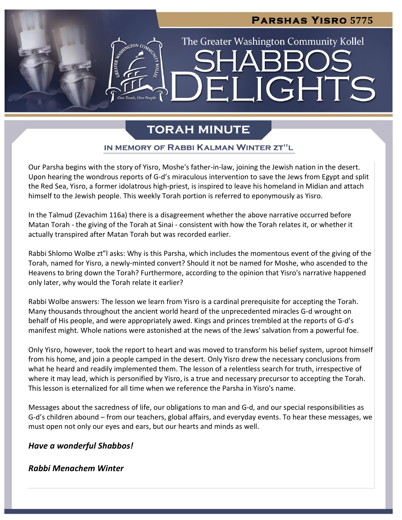# **Parshas Yisro 5775** The Greater Washington Community Kollel ELIGHTS

# **TORAH MINUTE**

# IN MEMORY OF RABBI KALMAN WINTER ZT"L

Our Parsha begins with the story of Yisro, Moshe's father-in-law, joining the Jewish nation in the desert. Upon hearing the wondrous reports of G-d's miraculous intervention to save the Jews from Egypt and split the Red Sea, Yisro, a former idolatrous high-priest, is inspired to leave his homeland in Midian and attach himself to the Jewish people. This weekly Torah portion is referred to eponymously as Yisro.

In the Talmud (Zevachim 116a) there is a disagreement whether the above narrative occurred before Matan Torah - the giving of the Torah at Sinai - consistent with how the Torah relates it, or whether it actually transpired after Matan Torah but was recorded earlier.

Rabbi Shlomo Wolbe zt"I asks: Why is this Parsha, which includes the momentous event of the giving of the Torah, named for Yisro, a newly-minted convert? Should it not be named for Moshe, who ascended to the Heavens to bring down the Torah? Furthermore, according to the opinion that Yisro's narrative happened only later, why would the Torah relate it earlier?

Rabbi Wolbe answers: The lesson we learn from Yisro is a cardinal prerequisite for accepting the Torah. Many thousands throughout the ancient world heard of the unprecedented miracles G-d wrought on behalf of His people, and were appropriately awed. Kings and princes trembled at the reports of G-d's manifest might. Whole nations were astonished at the news of the Jews' salvation from a powerful foe.

Only Yisro, however, took the report to heart and was moved to transform his belief system, uproot himself from his home, and join a people camped in the desert. Only Yisro drew the necessary conclusions from what he heard and readily implemented them. The lesson of a relentless search for truth, irrespective of where it may lead, which is personified by Yisro, is a true and necessary precursor to accepting the Torah. This lesson is eternalized for all time when we reference the Parsha in Yisro's name.

Messages about the sacredness of life, our obligations to man and G-d, and our special responsibilities as G-d's children abound – from our teachers, global affairs, and everyday events. To hear these messages, we must open not only our eyes and ears, but our hearts and minds as well.

*Have a wonderful Shabbos!*

# *Rabbi Menachem Winter*